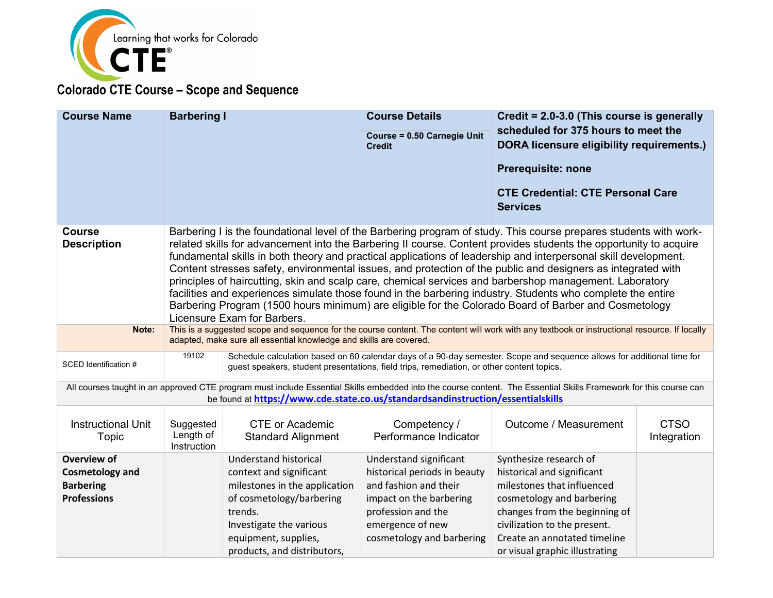

| <b>Course Name</b>                  | <b>Barbering I</b>                                                                                                                                                                                                 |                                                                                           | <b>Course Details</b>                        | Credit = 2.0-3.0 (This course is generally                                                                                                                                                                                                                                                                                                                                                                                                                                                                                                                                                                                                                                                                                                                                                                  |                            |
|-------------------------------------|--------------------------------------------------------------------------------------------------------------------------------------------------------------------------------------------------------------------|-------------------------------------------------------------------------------------------|----------------------------------------------|-------------------------------------------------------------------------------------------------------------------------------------------------------------------------------------------------------------------------------------------------------------------------------------------------------------------------------------------------------------------------------------------------------------------------------------------------------------------------------------------------------------------------------------------------------------------------------------------------------------------------------------------------------------------------------------------------------------------------------------------------------------------------------------------------------------|----------------------------|
|                                     |                                                                                                                                                                                                                    |                                                                                           | Course = 0.50 Carnegie Unit<br><b>Credit</b> | scheduled for 375 hours to meet the<br><b>DORA licensure eligibility requirements.)</b><br><b>Prerequisite: none</b>                                                                                                                                                                                                                                                                                                                                                                                                                                                                                                                                                                                                                                                                                        |                            |
|                                     |                                                                                                                                                                                                                    |                                                                                           |                                              | <b>CTE Credential: CTE Personal Care</b><br><b>Services</b>                                                                                                                                                                                                                                                                                                                                                                                                                                                                                                                                                                                                                                                                                                                                                 |                            |
| <b>Course</b><br><b>Description</b> |                                                                                                                                                                                                                    | Licensure Exam for Barbers.                                                               |                                              | Barbering I is the foundational level of the Barbering program of study. This course prepares students with work-<br>related skills for advancement into the Barbering II course. Content provides students the opportunity to acquire<br>fundamental skills in both theory and practical applications of leadership and interpersonal skill development.<br>Content stresses safety, environmental issues, and protection of the public and designers as integrated with<br>principles of haircutting, skin and scalp care, chemical services and barbershop management. Laboratory<br>facilities and experiences simulate those found in the barbering industry. Students who complete the entire<br>Barbering Program (1500 hours minimum) are eligible for the Colorado Board of Barber and Cosmetology |                            |
| Note:                               | This is a suggested scope and sequence for the course content. The content will work with any textbook or instructional resource. If locally<br>adapted, make sure all essential knowledge and skills are covered. |                                                                                           |                                              |                                                                                                                                                                                                                                                                                                                                                                                                                                                                                                                                                                                                                                                                                                                                                                                                             |                            |
| SCED Identification #               | 19102                                                                                                                                                                                                              | guest speakers, student presentations, field trips, remediation, or other content topics. |                                              | Schedule calculation based on 60 calendar days of a 90-day semester. Scope and sequence allows for additional time for                                                                                                                                                                                                                                                                                                                                                                                                                                                                                                                                                                                                                                                                                      |                            |
|                                     |                                                                                                                                                                                                                    | be found at https://www.cde.state.co.us/standardsandinstruction/essentialskills           |                                              | All courses taught in an approved CTE program must include Essential Skills embedded into the course content. The Essential Skills Framework for this course can                                                                                                                                                                                                                                                                                                                                                                                                                                                                                                                                                                                                                                            |                            |
| <b>Instructional Unit</b><br>Topic  | Suggested<br>Length of<br>Instruction                                                                                                                                                                              | <b>CTE or Academic</b><br><b>Standard Alignment</b>                                       | Competency /<br>Performance Indicator        | Outcome / Measurement                                                                                                                                                                                                                                                                                                                                                                                                                                                                                                                                                                                                                                                                                                                                                                                       | <b>CTSO</b><br>Integration |
| Overview of                         |                                                                                                                                                                                                                    | Understand historical                                                                     | Understand significant                       | Synthesize research of                                                                                                                                                                                                                                                                                                                                                                                                                                                                                                                                                                                                                                                                                                                                                                                      |                            |
| <b>Cosmetology and</b>              |                                                                                                                                                                                                                    | context and significant                                                                   | historical periods in beauty                 | historical and significant                                                                                                                                                                                                                                                                                                                                                                                                                                                                                                                                                                                                                                                                                                                                                                                  |                            |
| <b>Barbering</b>                    |                                                                                                                                                                                                                    | milestones in the application                                                             | and fashion and their                        | milestones that influenced                                                                                                                                                                                                                                                                                                                                                                                                                                                                                                                                                                                                                                                                                                                                                                                  |                            |
| <b>Professions</b>                  |                                                                                                                                                                                                                    | of cosmetology/barbering                                                                  | impact on the barbering                      | cosmetology and barbering                                                                                                                                                                                                                                                                                                                                                                                                                                                                                                                                                                                                                                                                                                                                                                                   |                            |
|                                     |                                                                                                                                                                                                                    | trends.                                                                                   | profession and the                           | changes from the beginning of                                                                                                                                                                                                                                                                                                                                                                                                                                                                                                                                                                                                                                                                                                                                                                               |                            |
|                                     |                                                                                                                                                                                                                    | Investigate the various                                                                   | emergence of new                             | civilization to the present.                                                                                                                                                                                                                                                                                                                                                                                                                                                                                                                                                                                                                                                                                                                                                                                |                            |
|                                     |                                                                                                                                                                                                                    | equipment, supplies,                                                                      | cosmetology and barbering                    | Create an annotated timeline                                                                                                                                                                                                                                                                                                                                                                                                                                                                                                                                                                                                                                                                                                                                                                                |                            |
|                                     |                                                                                                                                                                                                                    | products, and distributors,                                                               |                                              | or visual graphic illustrating                                                                                                                                                                                                                                                                                                                                                                                                                                                                                                                                                                                                                                                                                                                                                                              |                            |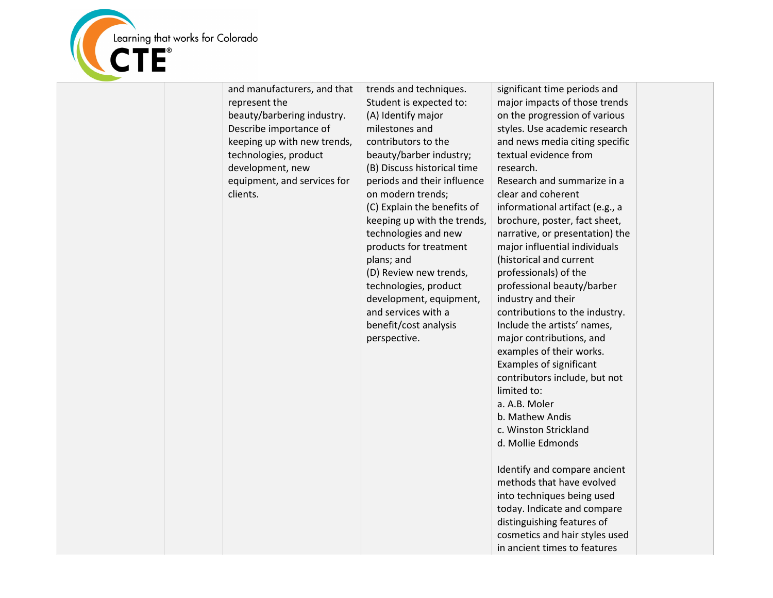

| and manufacturers, and that<br>represent the<br>beauty/barbering industry.<br>Describe importance of<br>keeping up with new trends,<br>technologies, product<br>development, new<br>equipment, and services for<br>clients. | trends and techniques.<br>Student is expected to:<br>(A) Identify major<br>milestones and<br>contributors to the<br>beauty/barber industry;<br>(B) Discuss historical time<br>periods and their influence<br>on modern trends;<br>(C) Explain the benefits of<br>keeping up with the trends,<br>technologies and new<br>products for treatment<br>plans; and<br>(D) Review new trends,<br>technologies, product<br>development, equipment,<br>and services with a<br>benefit/cost analysis<br>perspective. | significant time periods and<br>major impacts of those trends<br>on the progression of various<br>styles. Use academic research<br>and news media citing specific<br>textual evidence from<br>research.<br>Research and summarize in a<br>clear and coherent<br>informational artifact (e.g., a<br>brochure, poster, fact sheet,<br>narrative, or presentation) the<br>major influential individuals<br>(historical and current<br>professionals) of the<br>professional beauty/barber<br>industry and their<br>contributions to the industry.<br>Include the artists' names,<br>major contributions, and<br>examples of their works. |  |
|-----------------------------------------------------------------------------------------------------------------------------------------------------------------------------------------------------------------------------|------------------------------------------------------------------------------------------------------------------------------------------------------------------------------------------------------------------------------------------------------------------------------------------------------------------------------------------------------------------------------------------------------------------------------------------------------------------------------------------------------------|---------------------------------------------------------------------------------------------------------------------------------------------------------------------------------------------------------------------------------------------------------------------------------------------------------------------------------------------------------------------------------------------------------------------------------------------------------------------------------------------------------------------------------------------------------------------------------------------------------------------------------------|--|
|                                                                                                                                                                                                                             |                                                                                                                                                                                                                                                                                                                                                                                                                                                                                                            |                                                                                                                                                                                                                                                                                                                                                                                                                                                                                                                                                                                                                                       |  |
|                                                                                                                                                                                                                             |                                                                                                                                                                                                                                                                                                                                                                                                                                                                                                            |                                                                                                                                                                                                                                                                                                                                                                                                                                                                                                                                                                                                                                       |  |
|                                                                                                                                                                                                                             |                                                                                                                                                                                                                                                                                                                                                                                                                                                                                                            |                                                                                                                                                                                                                                                                                                                                                                                                                                                                                                                                                                                                                                       |  |
|                                                                                                                                                                                                                             |                                                                                                                                                                                                                                                                                                                                                                                                                                                                                                            |                                                                                                                                                                                                                                                                                                                                                                                                                                                                                                                                                                                                                                       |  |
|                                                                                                                                                                                                                             |                                                                                                                                                                                                                                                                                                                                                                                                                                                                                                            |                                                                                                                                                                                                                                                                                                                                                                                                                                                                                                                                                                                                                                       |  |
|                                                                                                                                                                                                                             |                                                                                                                                                                                                                                                                                                                                                                                                                                                                                                            |                                                                                                                                                                                                                                                                                                                                                                                                                                                                                                                                                                                                                                       |  |
|                                                                                                                                                                                                                             |                                                                                                                                                                                                                                                                                                                                                                                                                                                                                                            |                                                                                                                                                                                                                                                                                                                                                                                                                                                                                                                                                                                                                                       |  |
|                                                                                                                                                                                                                             |                                                                                                                                                                                                                                                                                                                                                                                                                                                                                                            |                                                                                                                                                                                                                                                                                                                                                                                                                                                                                                                                                                                                                                       |  |
|                                                                                                                                                                                                                             |                                                                                                                                                                                                                                                                                                                                                                                                                                                                                                            |                                                                                                                                                                                                                                                                                                                                                                                                                                                                                                                                                                                                                                       |  |
|                                                                                                                                                                                                                             |                                                                                                                                                                                                                                                                                                                                                                                                                                                                                                            |                                                                                                                                                                                                                                                                                                                                                                                                                                                                                                                                                                                                                                       |  |
|                                                                                                                                                                                                                             |                                                                                                                                                                                                                                                                                                                                                                                                                                                                                                            |                                                                                                                                                                                                                                                                                                                                                                                                                                                                                                                                                                                                                                       |  |
|                                                                                                                                                                                                                             |                                                                                                                                                                                                                                                                                                                                                                                                                                                                                                            |                                                                                                                                                                                                                                                                                                                                                                                                                                                                                                                                                                                                                                       |  |
|                                                                                                                                                                                                                             |                                                                                                                                                                                                                                                                                                                                                                                                                                                                                                            |                                                                                                                                                                                                                                                                                                                                                                                                                                                                                                                                                                                                                                       |  |
|                                                                                                                                                                                                                             |                                                                                                                                                                                                                                                                                                                                                                                                                                                                                                            | Examples of significant                                                                                                                                                                                                                                                                                                                                                                                                                                                                                                                                                                                                               |  |
|                                                                                                                                                                                                                             |                                                                                                                                                                                                                                                                                                                                                                                                                                                                                                            | contributors include, but not                                                                                                                                                                                                                                                                                                                                                                                                                                                                                                                                                                                                         |  |
|                                                                                                                                                                                                                             |                                                                                                                                                                                                                                                                                                                                                                                                                                                                                                            | limited to:                                                                                                                                                                                                                                                                                                                                                                                                                                                                                                                                                                                                                           |  |
|                                                                                                                                                                                                                             |                                                                                                                                                                                                                                                                                                                                                                                                                                                                                                            | a. A.B. Moler                                                                                                                                                                                                                                                                                                                                                                                                                                                                                                                                                                                                                         |  |
|                                                                                                                                                                                                                             |                                                                                                                                                                                                                                                                                                                                                                                                                                                                                                            | b. Mathew Andis                                                                                                                                                                                                                                                                                                                                                                                                                                                                                                                                                                                                                       |  |
|                                                                                                                                                                                                                             |                                                                                                                                                                                                                                                                                                                                                                                                                                                                                                            | c. Winston Strickland                                                                                                                                                                                                                                                                                                                                                                                                                                                                                                                                                                                                                 |  |
|                                                                                                                                                                                                                             |                                                                                                                                                                                                                                                                                                                                                                                                                                                                                                            | d. Mollie Edmonds                                                                                                                                                                                                                                                                                                                                                                                                                                                                                                                                                                                                                     |  |
|                                                                                                                                                                                                                             |                                                                                                                                                                                                                                                                                                                                                                                                                                                                                                            | Identify and compare ancient                                                                                                                                                                                                                                                                                                                                                                                                                                                                                                                                                                                                          |  |
|                                                                                                                                                                                                                             |                                                                                                                                                                                                                                                                                                                                                                                                                                                                                                            | methods that have evolved                                                                                                                                                                                                                                                                                                                                                                                                                                                                                                                                                                                                             |  |
|                                                                                                                                                                                                                             |                                                                                                                                                                                                                                                                                                                                                                                                                                                                                                            | into techniques being used                                                                                                                                                                                                                                                                                                                                                                                                                                                                                                                                                                                                            |  |
|                                                                                                                                                                                                                             |                                                                                                                                                                                                                                                                                                                                                                                                                                                                                                            | today. Indicate and compare                                                                                                                                                                                                                                                                                                                                                                                                                                                                                                                                                                                                           |  |
|                                                                                                                                                                                                                             |                                                                                                                                                                                                                                                                                                                                                                                                                                                                                                            | distinguishing features of                                                                                                                                                                                                                                                                                                                                                                                                                                                                                                                                                                                                            |  |
|                                                                                                                                                                                                                             |                                                                                                                                                                                                                                                                                                                                                                                                                                                                                                            | cosmetics and hair styles used                                                                                                                                                                                                                                                                                                                                                                                                                                                                                                                                                                                                        |  |
|                                                                                                                                                                                                                             |                                                                                                                                                                                                                                                                                                                                                                                                                                                                                                            | in ancient times to features                                                                                                                                                                                                                                                                                                                                                                                                                                                                                                                                                                                                          |  |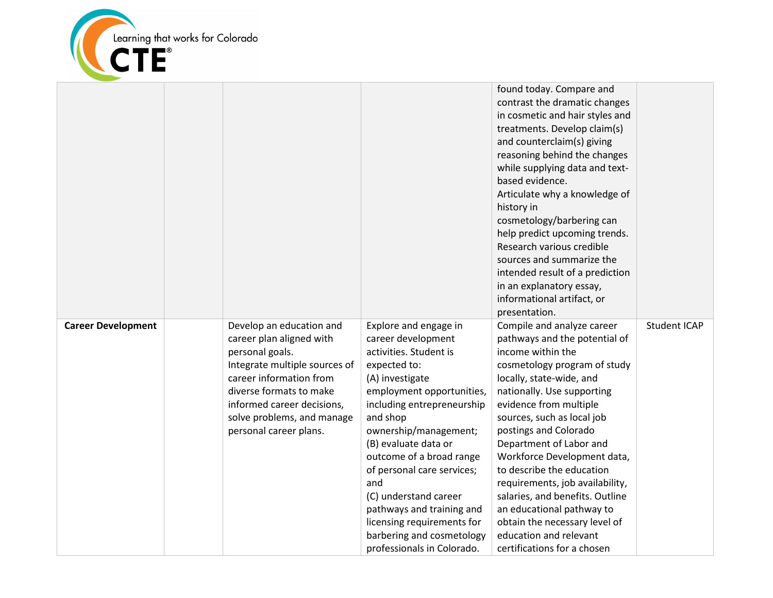

|                           |                                                                                                                                                                                                                                                      |                                                                                                                                                                                                                                                                                                                                                                                       | found today. Compare and<br>contrast the dramatic changes<br>in cosmetic and hair styles and<br>treatments. Develop claim(s)<br>and counterclaim(s) giving<br>reasoning behind the changes<br>while supplying data and text-<br>based evidence.<br>Articulate why a knowledge of<br>history in<br>cosmetology/barbering can<br>help predict upcoming trends.<br>Research various credible<br>sources and summarize the                                                                 |                     |
|---------------------------|------------------------------------------------------------------------------------------------------------------------------------------------------------------------------------------------------------------------------------------------------|---------------------------------------------------------------------------------------------------------------------------------------------------------------------------------------------------------------------------------------------------------------------------------------------------------------------------------------------------------------------------------------|----------------------------------------------------------------------------------------------------------------------------------------------------------------------------------------------------------------------------------------------------------------------------------------------------------------------------------------------------------------------------------------------------------------------------------------------------------------------------------------|---------------------|
|                           |                                                                                                                                                                                                                                                      |                                                                                                                                                                                                                                                                                                                                                                                       | intended result of a prediction<br>in an explanatory essay,                                                                                                                                                                                                                                                                                                                                                                                                                            |                     |
|                           |                                                                                                                                                                                                                                                      |                                                                                                                                                                                                                                                                                                                                                                                       | informational artifact, or                                                                                                                                                                                                                                                                                                                                                                                                                                                             |                     |
|                           |                                                                                                                                                                                                                                                      |                                                                                                                                                                                                                                                                                                                                                                                       | presentation.                                                                                                                                                                                                                                                                                                                                                                                                                                                                          |                     |
| <b>Career Development</b> | Develop an education and<br>career plan aligned with<br>personal goals.<br>Integrate multiple sources of<br>career information from<br>diverse formats to make<br>informed career decisions,<br>solve problems, and manage<br>personal career plans. | Explore and engage in<br>career development<br>activities. Student is<br>expected to:<br>(A) investigate<br>employment opportunities,<br>including entrepreneurship<br>and shop<br>ownership/management;<br>(B) evaluate data or<br>outcome of a broad range<br>of personal care services;<br>and<br>(C) understand career<br>pathways and training and<br>licensing requirements for | Compile and analyze career<br>pathways and the potential of<br>income within the<br>cosmetology program of study<br>locally, state-wide, and<br>nationally. Use supporting<br>evidence from multiple<br>sources, such as local job<br>postings and Colorado<br>Department of Labor and<br>Workforce Development data,<br>to describe the education<br>requirements, job availability,<br>salaries, and benefits. Outline<br>an educational pathway to<br>obtain the necessary level of | <b>Student ICAP</b> |
|                           |                                                                                                                                                                                                                                                      | barbering and cosmetology<br>professionals in Colorado.                                                                                                                                                                                                                                                                                                                               | education and relevant<br>certifications for a chosen                                                                                                                                                                                                                                                                                                                                                                                                                                  |                     |
|                           |                                                                                                                                                                                                                                                      |                                                                                                                                                                                                                                                                                                                                                                                       |                                                                                                                                                                                                                                                                                                                                                                                                                                                                                        |                     |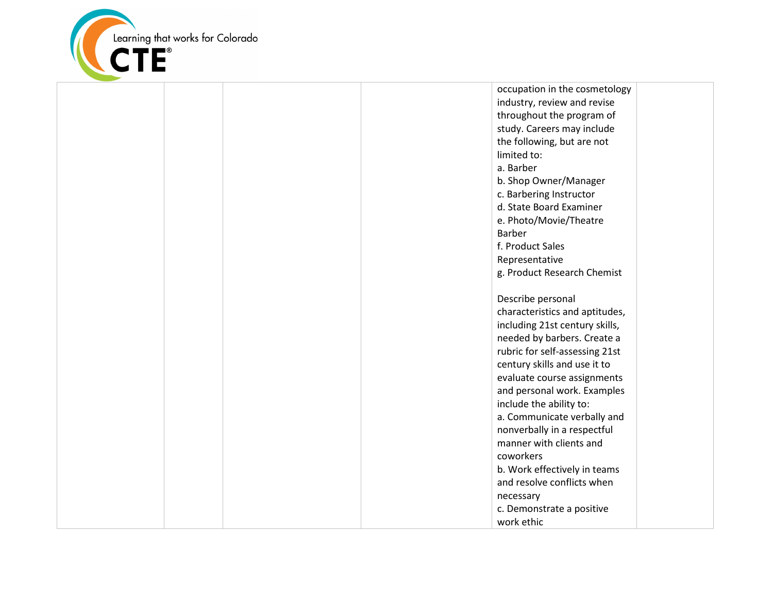

occupation in the cosmetology industry, review and revise throughout the program of study. Careers may include the following, but are not limited to: a. Barber b. Shop Owner/Manager c. Barbering Instructor d. State Board Examiner e. Photo/Movie/Theatre Barber f. Product Sales Representative g. Product Research Chemist Describe personal characteristics and aptitudes, including 21st century skills, needed by barbers. Create a rubric for self-assessing 21st century skills and use it to evaluate course assignments and personal work. Examples include the ability to: a. Communicate verbally and nonverbally in a respectful manner with clients and coworkers b. Work effectively in teams and resolve conflicts when necessary c. Demonstrate a positive work ethic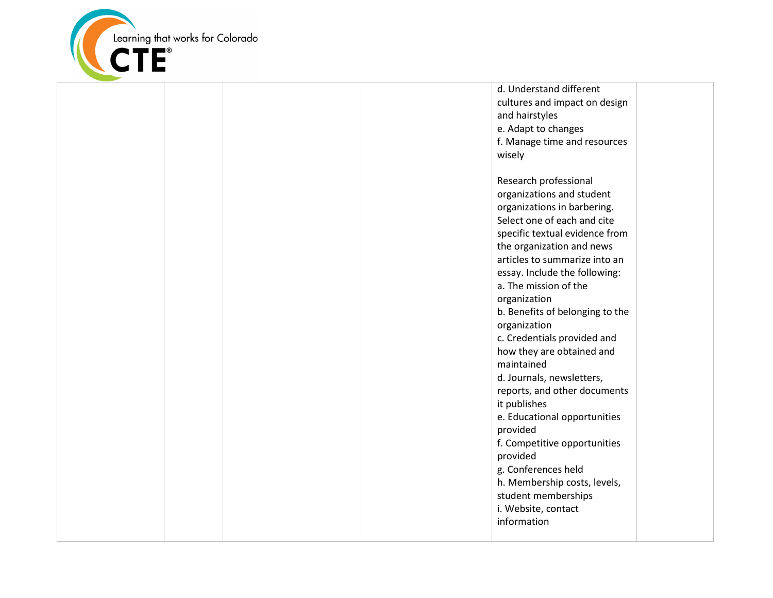

d. Understand different cultures and impact on design and hairstyles e. Adapt to changes f. Manage time and resources wisely Research professional organizations and student organizations in barbering. Select one of each and cite specific textual evidence from the organization and news articles to summarize into an essay. Include the following: a. The mission of the organization b. Benefits of belonging to the organization c. Credentials provided and how they are obtained and maintained d. Journals, newsletters, reports, and other documents it publishes e. Educational opportunities provided f. Competitive opportunities provided g. Conferences held h. Membership costs, levels, student memberships i. Website, contact information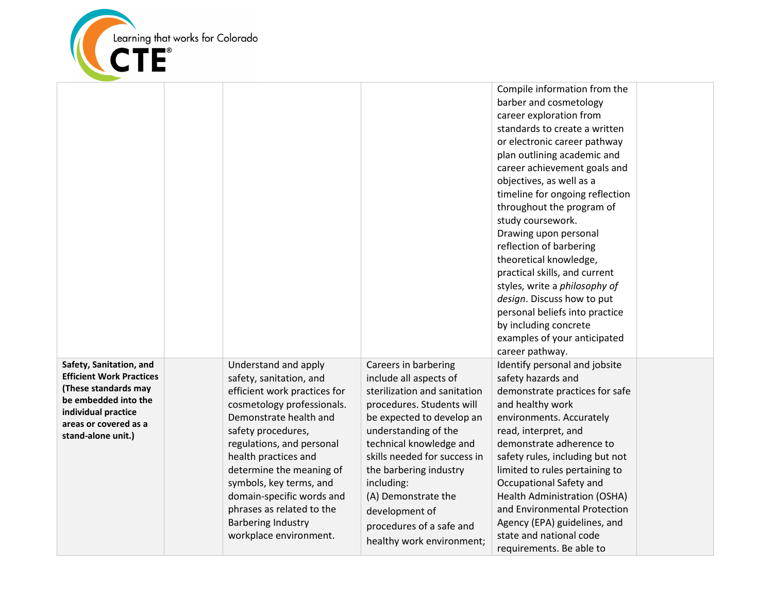

|                                                                                                                                                                                  |                                                                                                                                                                                                                                                                                                                                                                                            |                                                                                                                                                                                                                                                                                                                                                                       | Compile information from the<br>barber and cosmetology<br>career exploration from<br>standards to create a written<br>or electronic career pathway<br>plan outlining academic and<br>career achievement goals and                                                                                                                                                                                                                                |  |
|----------------------------------------------------------------------------------------------------------------------------------------------------------------------------------|--------------------------------------------------------------------------------------------------------------------------------------------------------------------------------------------------------------------------------------------------------------------------------------------------------------------------------------------------------------------------------------------|-----------------------------------------------------------------------------------------------------------------------------------------------------------------------------------------------------------------------------------------------------------------------------------------------------------------------------------------------------------------------|--------------------------------------------------------------------------------------------------------------------------------------------------------------------------------------------------------------------------------------------------------------------------------------------------------------------------------------------------------------------------------------------------------------------------------------------------|--|
|                                                                                                                                                                                  |                                                                                                                                                                                                                                                                                                                                                                                            |                                                                                                                                                                                                                                                                                                                                                                       | objectives, as well as a<br>timeline for ongoing reflection<br>throughout the program of<br>study coursework.<br>Drawing upon personal<br>reflection of barbering<br>theoretical knowledge,<br>practical skills, and current<br>styles, write a philosophy of<br>design. Discuss how to put<br>personal beliefs into practice<br>by including concrete<br>examples of your anticipated<br>career pathway.                                        |  |
| Safety, Sanitation, and<br><b>Efficient Work Practices</b><br>(These standards may<br>be embedded into the<br>individual practice<br>areas or covered as a<br>stand-alone unit.) | Understand and apply<br>safety, sanitation, and<br>efficient work practices for<br>cosmetology professionals.<br>Demonstrate health and<br>safety procedures,<br>regulations, and personal<br>health practices and<br>determine the meaning of<br>symbols, key terms, and<br>domain-specific words and<br>phrases as related to the<br><b>Barbering Industry</b><br>workplace environment. | Careers in barbering<br>include all aspects of<br>sterilization and sanitation<br>procedures. Students will<br>be expected to develop an<br>understanding of the<br>technical knowledge and<br>skills needed for success in<br>the barbering industry<br>including:<br>(A) Demonstrate the<br>development of<br>procedures of a safe and<br>healthy work environment; | Identify personal and jobsite<br>safety hazards and<br>demonstrate practices for safe<br>and healthy work<br>environments. Accurately<br>read, interpret, and<br>demonstrate adherence to<br>safety rules, including but not<br>limited to rules pertaining to<br>Occupational Safety and<br>Health Administration (OSHA)<br>and Environmental Protection<br>Agency (EPA) guidelines, and<br>state and national code<br>requirements. Be able to |  |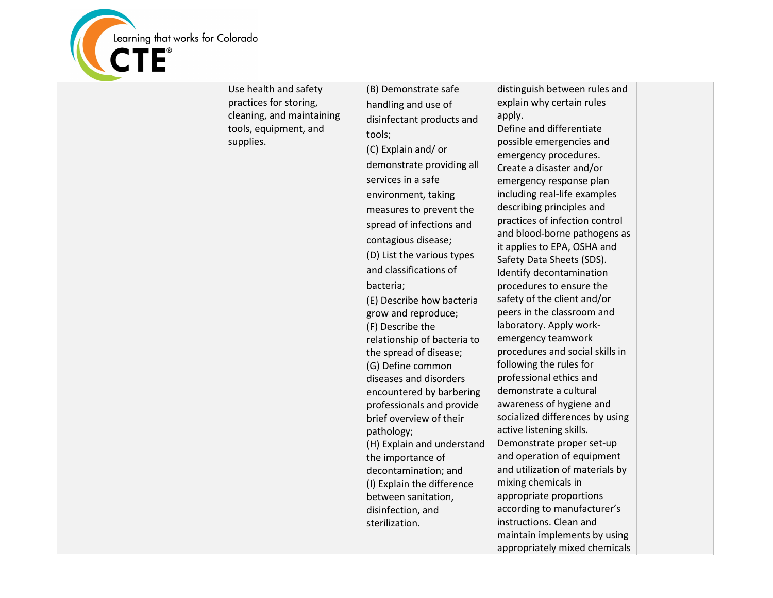

| Use health and safety<br>practices for storing,<br>cleaning, and maintaining<br>tools, equipment, and<br>supplies. | (B) Demonstrate safe<br>handling and use of<br>disinfectant products and<br>tools;<br>(C) Explain and/or<br>demonstrate providing all<br>services in a safe<br>environment, taking<br>measures to prevent the<br>spread of infections and<br>contagious disease;<br>(D) List the various types<br>and classifications of<br>bacteria;<br>(E) Describe how bacteria<br>grow and reproduce;<br>(F) Describe the<br>relationship of bacteria to<br>the spread of disease;<br>(G) Define common<br>diseases and disorders<br>encountered by barbering<br>professionals and provide<br>brief overview of their<br>pathology;<br>(H) Explain and understand<br>the importance of<br>decontamination; and<br>(I) Explain the difference<br>between sanitation,<br>disinfection, and<br>sterilization. | distinguish between rules and<br>explain why certain rules<br>apply.<br>Define and differentiate<br>possible emergencies and<br>emergency procedures.<br>Create a disaster and/or<br>emergency response plan<br>including real-life examples<br>describing principles and<br>practices of infection control<br>and blood-borne pathogens as<br>it applies to EPA, OSHA and<br>Safety Data Sheets (SDS).<br>Identify decontamination<br>procedures to ensure the<br>safety of the client and/or<br>peers in the classroom and<br>laboratory. Apply work-<br>emergency teamwork<br>procedures and social skills in<br>following the rules for<br>professional ethics and<br>demonstrate a cultural<br>awareness of hygiene and<br>socialized differences by using<br>active listening skills.<br>Demonstrate proper set-up<br>and operation of equipment<br>and utilization of materials by<br>mixing chemicals in<br>appropriate proportions<br>according to manufacturer's<br>instructions. Clean and<br>maintain implements by using<br>appropriately mixed chemicals |
|--------------------------------------------------------------------------------------------------------------------|------------------------------------------------------------------------------------------------------------------------------------------------------------------------------------------------------------------------------------------------------------------------------------------------------------------------------------------------------------------------------------------------------------------------------------------------------------------------------------------------------------------------------------------------------------------------------------------------------------------------------------------------------------------------------------------------------------------------------------------------------------------------------------------------|------------------------------------------------------------------------------------------------------------------------------------------------------------------------------------------------------------------------------------------------------------------------------------------------------------------------------------------------------------------------------------------------------------------------------------------------------------------------------------------------------------------------------------------------------------------------------------------------------------------------------------------------------------------------------------------------------------------------------------------------------------------------------------------------------------------------------------------------------------------------------------------------------------------------------------------------------------------------------------------------------------------------------------------------------------------------|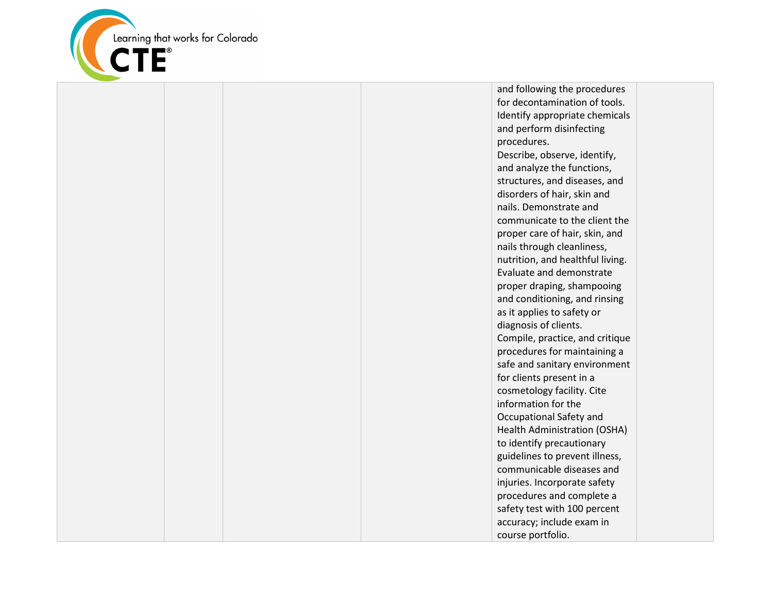

and following the procedures for decontamination of tools. Identify appropriate chemicals and perform disinfecting procedures. Describe, observe, identify, and analyze the functions, structures, and diseases, and disorders of hair, skin and nails. Demonstrate and communicate to the client the proper care of hair, skin, and nails through cleanliness, nutrition, and healthful living. Evaluate and demonstrate proper draping, shampooing and conditioning, and rinsing as it applies to safety or diagnosis of clients. Compile, practice, and critique procedures for maintaining a safe and sanitary environment for clients present in a cosmetology facility. Cite information for the Occupational Safety and Health Administration (OSHA) to identify precautionary guidelines to prevent illness, communicable diseases and injuries. Incorporate safety procedures and complete a safety test with 100 percent accuracy; include exam in course portfolio.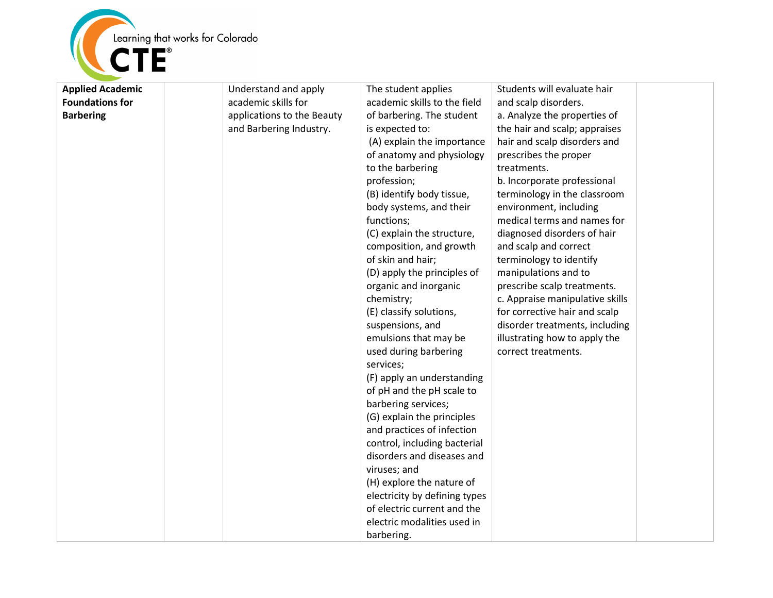

| <b>Applied Academic</b> | Understand and apply       | The student applies           | Students will evaluate hair     |
|-------------------------|----------------------------|-------------------------------|---------------------------------|
| <b>Foundations for</b>  | academic skills for        | academic skills to the field  | and scalp disorders.            |
| <b>Barbering</b>        | applications to the Beauty | of barbering. The student     | a. Analyze the properties of    |
|                         | and Barbering Industry.    | is expected to:               | the hair and scalp; appraises   |
|                         |                            | (A) explain the importance    | hair and scalp disorders and    |
|                         |                            | of anatomy and physiology     | prescribes the proper           |
|                         |                            | to the barbering              | treatments.                     |
|                         |                            | profession;                   | b. Incorporate professional     |
|                         |                            | (B) identify body tissue,     | terminology in the classroom    |
|                         |                            | body systems, and their       | environment, including          |
|                         |                            | functions;                    | medical terms and names for     |
|                         |                            | (C) explain the structure,    | diagnosed disorders of hair     |
|                         |                            | composition, and growth       | and scalp and correct           |
|                         |                            | of skin and hair;             | terminology to identify         |
|                         |                            | (D) apply the principles of   | manipulations and to            |
|                         |                            | organic and inorganic         | prescribe scalp treatments.     |
|                         |                            | chemistry;                    | c. Appraise manipulative skills |
|                         |                            | (E) classify solutions,       | for corrective hair and scalp   |
|                         |                            | suspensions, and              | disorder treatments, including  |
|                         |                            | emulsions that may be         | illustrating how to apply the   |
|                         |                            | used during barbering         | correct treatments.             |
|                         |                            | services;                     |                                 |
|                         |                            | (F) apply an understanding    |                                 |
|                         |                            | of pH and the pH scale to     |                                 |
|                         |                            | barbering services;           |                                 |
|                         |                            | (G) explain the principles    |                                 |
|                         |                            | and practices of infection    |                                 |
|                         |                            | control, including bacterial  |                                 |
|                         |                            | disorders and diseases and    |                                 |
|                         |                            | viruses; and                  |                                 |
|                         |                            | (H) explore the nature of     |                                 |
|                         |                            | electricity by defining types |                                 |
|                         |                            | of electric current and the   |                                 |
|                         |                            | electric modalities used in   |                                 |
|                         |                            | barbering.                    |                                 |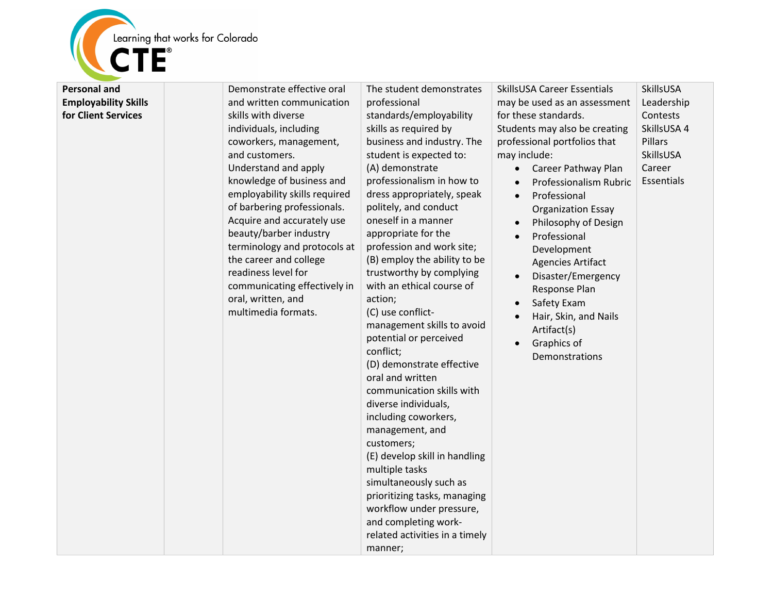

| <b>Personal and</b>         | Demonstrate effective oral                                                                                                                                                                                                                        | The student demonstrates                                                                                                                                                                                                                                                                                                                                                                                                                                                                                                                                                                                                                                                    | SkillsUSA Career Essentials                                                                                                                                                                                                                 | SkillsUSA                                                               |
|-----------------------------|---------------------------------------------------------------------------------------------------------------------------------------------------------------------------------------------------------------------------------------------------|-----------------------------------------------------------------------------------------------------------------------------------------------------------------------------------------------------------------------------------------------------------------------------------------------------------------------------------------------------------------------------------------------------------------------------------------------------------------------------------------------------------------------------------------------------------------------------------------------------------------------------------------------------------------------------|---------------------------------------------------------------------------------------------------------------------------------------------------------------------------------------------------------------------------------------------|-------------------------------------------------------------------------|
| <b>Employability Skills</b> | and written communication                                                                                                                                                                                                                         | professional                                                                                                                                                                                                                                                                                                                                                                                                                                                                                                                                                                                                                                                                | may be used as an assessment                                                                                                                                                                                                                | Leadership                                                              |
| for Client Services         | skills with diverse<br>individuals, including<br>coworkers, management,<br>and customers.<br>Understand and apply<br>knowledge of business and<br>employability skills required                                                                   | standards/employability<br>skills as required by<br>business and industry. The<br>student is expected to:<br>(A) demonstrate<br>professionalism in how to<br>dress appropriately, speak                                                                                                                                                                                                                                                                                                                                                                                                                                                                                     | for these standards.<br>Students may also be creating<br>professional portfolios that<br>may include:<br>Career Pathway Plan<br>Professionalism Rubric<br>Professional<br>$\bullet$                                                         | Contests<br>SkillsUSA 4<br>Pillars<br>SkillsUSA<br>Career<br>Essentials |
|                             | of barbering professionals.<br>Acquire and accurately use<br>beauty/barber industry<br>terminology and protocols at<br>the career and college<br>readiness level for<br>communicating effectively in<br>oral, written, and<br>multimedia formats. | politely, and conduct<br>oneself in a manner<br>appropriate for the<br>profession and work site;<br>(B) employ the ability to be<br>trustworthy by complying<br>with an ethical course of<br>action;<br>(C) use conflict-<br>management skills to avoid<br>potential or perceived<br>conflict;<br>(D) demonstrate effective<br>oral and written<br>communication skills with<br>diverse individuals,<br>including coworkers,<br>management, and<br>customers;<br>(E) develop skill in handling<br>multiple tasks<br>simultaneously such as<br>prioritizing tasks, managing<br>workflow under pressure,<br>and completing work-<br>related activities in a timely<br>manner; | <b>Organization Essay</b><br>Philosophy of Design<br>Professional<br>Development<br><b>Agencies Artifact</b><br>Disaster/Emergency<br>Response Plan<br>Safety Exam<br>Hair, Skin, and Nails<br>Artifact(s)<br>Graphics of<br>Demonstrations |                                                                         |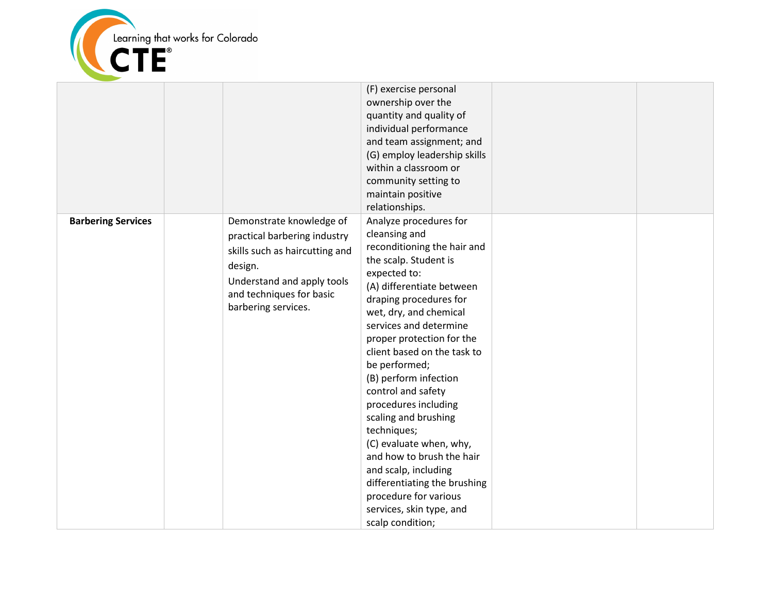

|                           |                                                                                                                                                                                        | (F) exercise personal<br>ownership over the<br>quantity and quality of<br>individual performance<br>and team assignment; and<br>(G) employ leadership skills<br>within a classroom or<br>community setting to<br>maintain positive<br>relationships.                                                                                                                                                                                                                                                                                                                                                           |  |
|---------------------------|----------------------------------------------------------------------------------------------------------------------------------------------------------------------------------------|----------------------------------------------------------------------------------------------------------------------------------------------------------------------------------------------------------------------------------------------------------------------------------------------------------------------------------------------------------------------------------------------------------------------------------------------------------------------------------------------------------------------------------------------------------------------------------------------------------------|--|
| <b>Barbering Services</b> | Demonstrate knowledge of<br>practical barbering industry<br>skills such as haircutting and<br>design.<br>Understand and apply tools<br>and techniques for basic<br>barbering services. | Analyze procedures for<br>cleansing and<br>reconditioning the hair and<br>the scalp. Student is<br>expected to:<br>(A) differentiate between<br>draping procedures for<br>wet, dry, and chemical<br>services and determine<br>proper protection for the<br>client based on the task to<br>be performed;<br>(B) perform infection<br>control and safety<br>procedures including<br>scaling and brushing<br>techniques;<br>(C) evaluate when, why,<br>and how to brush the hair<br>and scalp, including<br>differentiating the brushing<br>procedure for various<br>services, skin type, and<br>scalp condition; |  |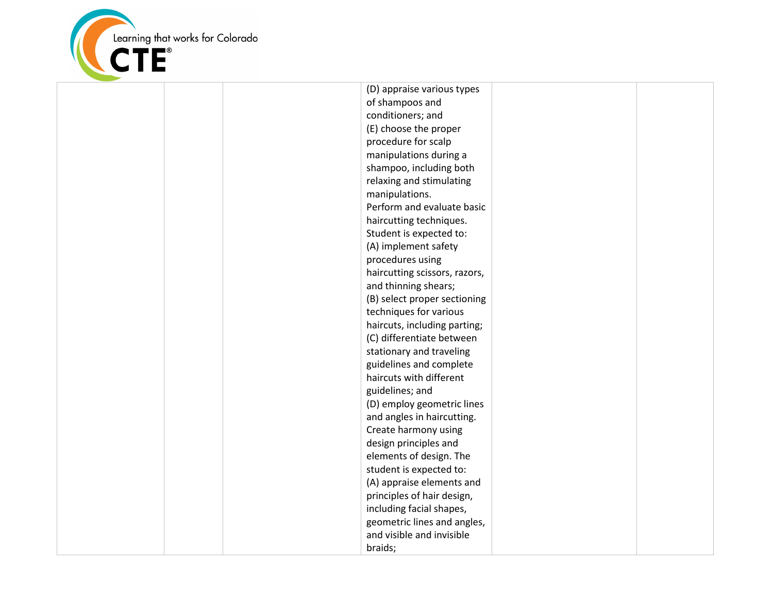

(D) appraise various types of shampoos and conditioners; and (E) choose the proper procedure for scalp manipulations during a shampoo, including both relaxing and stimulating manipulations. Perform and evaluate basic haircutting techniques. Student is expected to: (A) implement safety procedures using haircutting scissors, razors, and thinning shears; (B) select proper sectioning techniques for various haircuts, including parting; (C) differentiate between stationary and traveling guidelines and complete haircuts with different guidelines; and (D) employ geometric lines and angles in haircutting. Create harmony using design principles and elements of design. The student is expected to: (A) appraise elements and principles of hair design, including facial shapes, geometric lines and angles, and visible and invisible braids;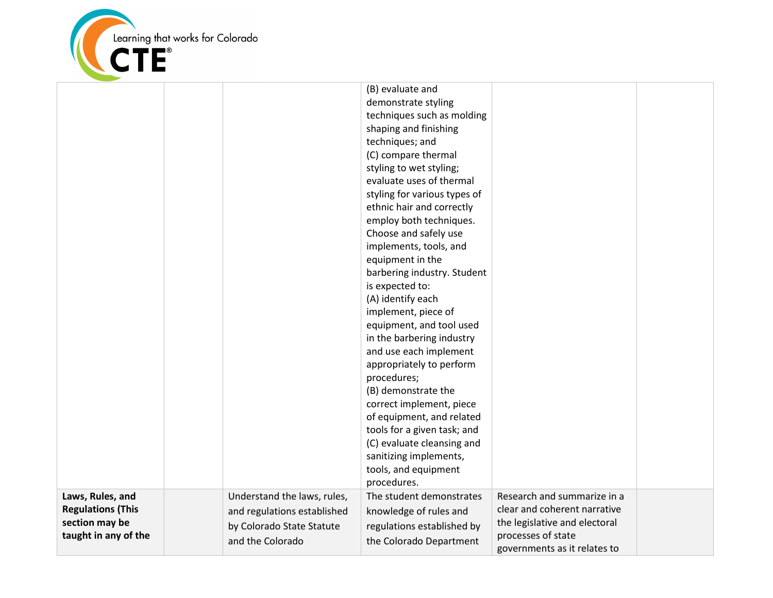

|                                                                                        |                                                                                                             | (B) evaluate and<br>demonstrate styling<br>techniques such as molding<br>shaping and finishing<br>techniques; and<br>(C) compare thermal<br>styling to wet styling;<br>evaluate uses of thermal<br>styling for various types of<br>ethnic hair and correctly<br>employ both techniques.<br>Choose and safely use<br>implements, tools, and<br>equipment in the<br>barbering industry. Student<br>is expected to:<br>(A) identify each<br>implement, piece of<br>equipment, and tool used<br>in the barbering industry<br>and use each implement<br>appropriately to perform<br>procedures;<br>(B) demonstrate the<br>correct implement, piece<br>of equipment, and related<br>tools for a given task; and<br>(C) evaluate cleansing and<br>sanitizing implements,<br>tools, and equipment<br>procedures. |                                                                                                                                                    |  |
|----------------------------------------------------------------------------------------|-------------------------------------------------------------------------------------------------------------|----------------------------------------------------------------------------------------------------------------------------------------------------------------------------------------------------------------------------------------------------------------------------------------------------------------------------------------------------------------------------------------------------------------------------------------------------------------------------------------------------------------------------------------------------------------------------------------------------------------------------------------------------------------------------------------------------------------------------------------------------------------------------------------------------------|----------------------------------------------------------------------------------------------------------------------------------------------------|--|
| Laws, Rules, and<br><b>Regulations (This</b><br>section may be<br>taught in any of the | Understand the laws, rules,<br>and regulations established<br>by Colorado State Statute<br>and the Colorado | The student demonstrates<br>knowledge of rules and<br>regulations established by<br>the Colorado Department                                                                                                                                                                                                                                                                                                                                                                                                                                                                                                                                                                                                                                                                                              | Research and summarize in a<br>clear and coherent narrative<br>the legislative and electoral<br>processes of state<br>governments as it relates to |  |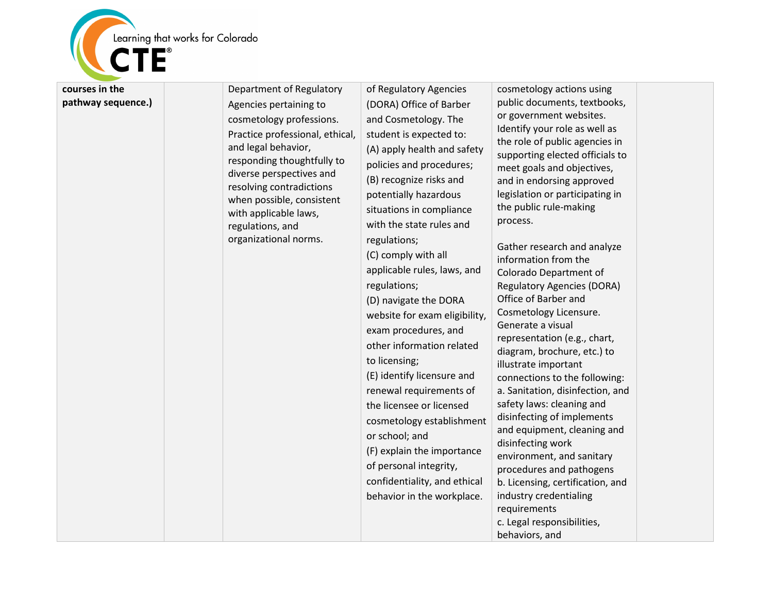

**pathway sequence.)** Agencies pertaining to cosmetology professions. Practice professional, ethical, and legal behavior, responding thoughtfully to diverse perspectives and resolving contradictions when possible, consistent with applicable laws, regulations, and organizational norms. (DORA) Office of Barber and Cosmetology. The student is expected to: (A) apply health and safety policies and procedures; (B) recognize risks and potentially hazardous situations in compliance with the state rules and regulations; (C) comply with all applicable rules, laws, and regulations; (D) navigate the DORA website for exam eligibility, exam procedures, and other information related to licensing; (E) identify licensure and renewal requirements of the licensee or licensed cosmetology establishment or school; and (F) explain the importance of personal integrity, confidentiality, and ethical behavior in the workplace.

cosmetology actions using public documents, textbooks, or government websites. Identify your role as well as the role of public agencies in supporting elected officials to meet goals and objectives, and in endorsing approved legislation or participating in the public rule-making process.

of Regulatory Agencies

Gather research and analyze information from the Colorado Department of Regulatory Agencies (DORA) Office of Barber and Cosmetology Licensure. Generate a visual representation (e.g., chart, diagram, brochure, etc.) to illustrate important connections to the following: a. Sanitation, disinfection, and safety laws: cleaning and disinfecting of implements and equipment, cleaning and disinfecting work environment, and sanitary procedures and pathogens b. Licensing, certification, and industry credentialing requirements c. Legal responsibilities, behaviors, and